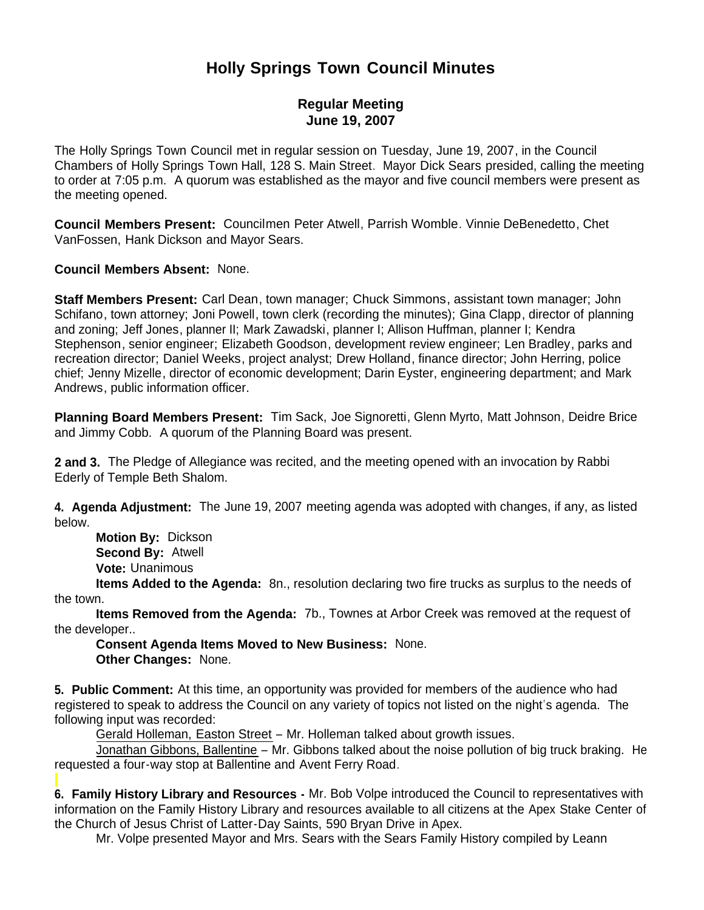# **Holly Springs Town Council Minutes**

# **Regular Meeting June 19, 2007**

The Holly Springs Town Council met in regular session on Tuesday, June 19, 2007, in the Council Chambers of Holly Springs Town Hall, 128 S. Main Street. Mayor Dick Sears presided, calling the meeting to order at 7:05 p.m. A quorum was established as the mayor and five council members were present as the meeting opened.

**Council Members Present:** Councilmen Peter Atwell, Parrish Womble. Vinnie DeBenedetto, Chet VanFossen, Hank Dickson and Mayor Sears.

**Council Members Absent:** None.

**Staff Members Present:** Carl Dean, town manager; Chuck Simmons, assistant town manager; John Schifano, town attorney; Joni Powell, town clerk (recording the minutes); Gina Clapp, director of planning and zoning; Jeff Jones, planner II; Mark Zawadski, planner I; Allison Huffman, planner I; Kendra Stephenson, senior engineer; Elizabeth Goodson, development review engineer; Len Bradley, parks and recreation director; Daniel Weeks, project analyst; Drew Holland, finance director; John Herring, police chief; Jenny Mizelle, director of economic development; Darin Eyster, engineering department; and Mark Andrews, public information officer.

**Planning Board Members Present:** Tim Sack, Joe Signoretti, Glenn Myrto, Matt Johnson, Deidre Brice and Jimmy Cobb. A quorum of the Planning Board was present.

**2 and 3.** The Pledge of Allegiance was recited, and the meeting opened with an invocation by Rabbi Ederly of Temple Beth Shalom.

**4. Agenda Adjustment:** The June 19, 2007 meeting agenda was adopted with changes, if any, as listed below.

 **Motion By:** Dickson **Second By:** Atwell **Vote:** Unanimous

 **Items Added to the Agenda:** 8n., resolution declaring two fire trucks as surplus to the needs of the town.

 **Items Removed from the Agenda:** 7b., Townes at Arbor Creek was removed at the request of the developer..

 **Consent Agenda Items Moved to New Business:** None. **Other Changes:** None.

**5. Public Comment:** At this time, an opportunity was provided for members of the audience who had registered to speak to address the Council on any variety of topics not listed on the night's agenda. The following input was recorded:

Gerald Holleman, Easton Street – Mr. Holleman talked about growth issues.

 Jonathan Gibbons, Ballentine – Mr. Gibbons talked about the noise pollution of big truck braking. He requested a four-way stop at Ballentine and Avent Ferry Road.

**6. Family History Library and Resources -** Mr. Bob Volpe introduced the Council to representatives with information on the Family History Library and resources available to all citizens at the Apex Stake Center of the Church of Jesus Christ of Latter-Day Saints, 590 Bryan Drive in Apex.

Mr. Volpe presented Mayor and Mrs. Sears with the Sears Family History compiled by Leann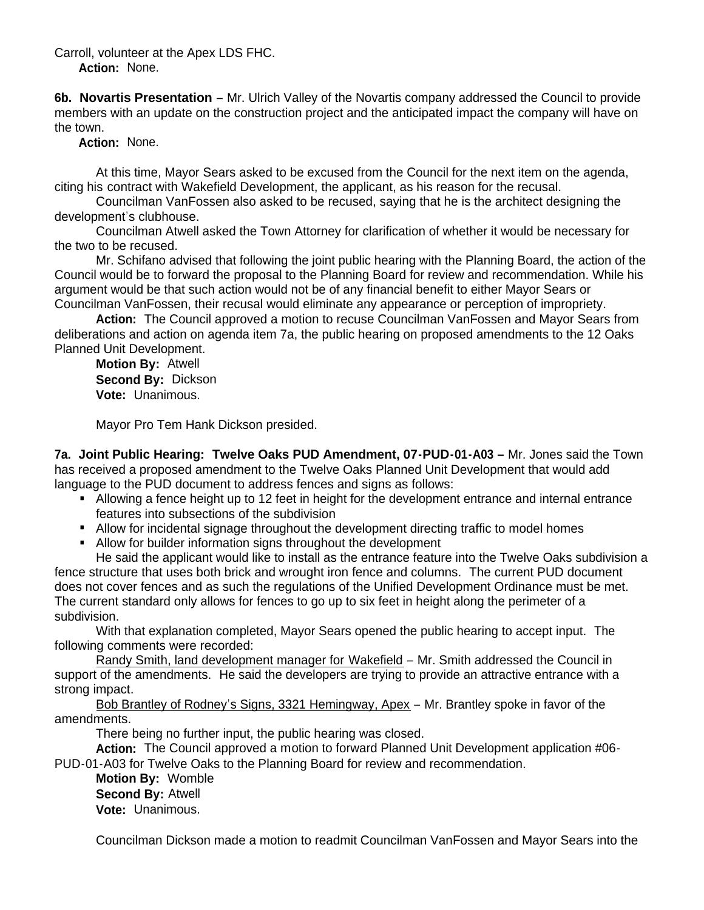### Carroll, volunteer at the Apex LDS FHC.  **Action:** None.

**6b. Novartis Presentation** – Mr. Ulrich Valley of the Novartis company addressed the Council to provide members with an update on the construction project and the anticipated impact the company will have on the town.

**Action:** None.

 At this time, Mayor Sears asked to be excused from the Council for the next item on the agenda, citing his contract with Wakefield Development, the applicant, as his reason for the recusal.

 Councilman VanFossen also asked to be recused, saying that he is the architect designing the development's clubhouse.

Councilman Atwell asked the Town Attorney for clarification of whether it would be necessary for the two to be recused.

Mr. Schifano advised that following the joint public hearing with the Planning Board, the action of the Council would be to forward the proposal to the Planning Board for review and recommendation. While his argument would be that such action would not be of any financial benefit to either Mayor Sears or Councilman VanFossen, their recusal would eliminate any appearance or perception of impropriety.

 **Action:** The Council approved a motion to recuse Councilman VanFossen and Mayor Sears from deliberations and action on agenda item 7a, the public hearing on proposed amendments to the 12 Oaks Planned Unit Development.

 **Motion By:** Atwell **Second By:** Dickson **Vote:** Unanimous.

Mayor Pro Tem Hank Dickson presided.

**7a. Joint Public Hearing: Twelve Oaks PUD Amendment, 07-PUD-01-A03 –** Mr. Jones said the Town has received a proposed amendment to the Twelve Oaks Planned Unit Development that would add language to the PUD document to address fences and signs as follows:

- Allowing a fence height up to 12 feet in height for the development entrance and internal entrance features into subsections of the subdivision
- Allow for incidental signage throughout the development directing traffic to model homes
- Allow for builder information signs throughout the development

He said the applicant would like to install as the entrance feature into the Twelve Oaks subdivision a fence structure that uses both brick and wrought iron fence and columns. The current PUD document does not cover fences and as such the regulations of the Unified Development Ordinance must be met. The current standard only allows for fences to go up to six feet in height along the perimeter of a subdivision.

With that explanation completed, Mayor Sears opened the public hearing to accept input. The following comments were recorded:

Randy Smith, land development manager for Wakefield – Mr. Smith addressed the Council in support of the amendments. He said the developers are trying to provide an attractive entrance with a strong impact.

Bob Brantley of Rodney's Signs, 3321 Hemingway, Apex – Mr. Brantley spoke in favor of the amendments.

There being no further input, the public hearing was closed.

 **Action:** The Council approved a motion to forward Planned Unit Development application #06- PUD-01-A03 for Twelve Oaks to the Planning Board for review and recommendation.

 **Motion By:** Womble **Second By:** Atwell **Vote:** Unanimous.

Councilman Dickson made a motion to readmit Councilman VanFossen and Mayor Sears into the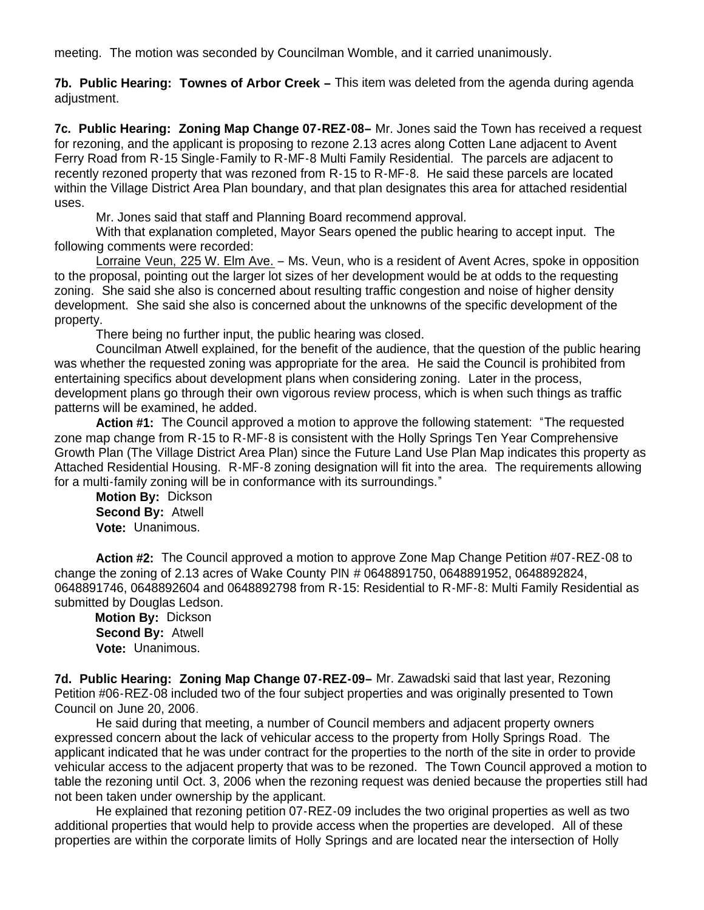meeting. The motion was seconded by Councilman Womble, and it carried unanimously.

**7b. Public Hearing: Townes of Arbor Creek –** This item was deleted from the agenda during agenda adjustment.

**7c. Public Hearing: Zoning Map Change 07-REZ-08–** Mr. Jones said the Town has received a request for rezoning, and the applicant is proposing to rezone 2.13 acres along Cotten Lane adjacent to Avent Ferry Road from R-15 Single-Family to R-MF-8 Multi Family Residential. The parcels are adjacent to recently rezoned property that was rezoned from R-15 to R-MF-8. He said these parcels are located within the Village District Area Plan boundary, and that plan designates this area for attached residential uses.

Mr. Jones said that staff and Planning Board recommend approval.

With that explanation completed, Mayor Sears opened the public hearing to accept input. The following comments were recorded:

Lorraine Veun, 225 W. Elm Ave. – Ms. Veun, who is a resident of Avent Acres, spoke in opposition to the proposal, pointing out the larger lot sizes of her development would be at odds to the requesting zoning. She said she also is concerned about resulting traffic congestion and noise of higher density development. She said she also is concerned about the unknowns of the specific development of the property.

There being no further input, the public hearing was closed.

Councilman Atwell explained, for the benefit of the audience, that the question of the public hearing was whether the requested zoning was appropriate for the area. He said the Council is prohibited from entertaining specifics about development plans when considering zoning. Later in the process, development plans go through their own vigorous review process, which is when such things as traffic patterns will be examined, he added.

 **Action #1:** The Council approved a motion to approve the following statement: "The requested zone map change from R-15 to R-MF-8 is consistent with the Holly Springs Ten Year Comprehensive Growth Plan (The Village District Area Plan) since the Future Land Use Plan Map indicates this property as Attached Residential Housing. R-MF-8 zoning designation will fit into the area. The requirements allowing for a multi-family zoning will be in conformance with its surroundings."

**Motion By:** Dickson **Second By:** Atwell **Vote:** Unanimous.

 **Action #2:** The Council approved a motion to approve Zone Map Change Petition #07-REZ-08 to change the zoning of 2.13 acres of Wake County PIN # 0648891750, 0648891952, 0648892824, 0648891746, 0648892604 and 0648892798 from R-15: Residential to R-MF-8: Multi Family Residential as submitted by Douglas Ledson.

 **Motion By:** Dickson **Second By:** Atwell **Vote:** Unanimous.

**7d. Public Hearing: Zoning Map Change 07-REZ-09–** Mr. Zawadski said that last year, Rezoning Petition #06-REZ-08 included two of the four subject properties and was originally presented to Town Council on June 20, 2006.

He said during that meeting, a number of Council members and adjacent property owners expressed concern about the lack of vehicular access to the property from Holly Springs Road. The applicant indicated that he was under contract for the properties to the north of the site in order to provide vehicular access to the adjacent property that was to be rezoned. The Town Council approved a motion to table the rezoning until Oct. 3, 2006 when the rezoning request was denied because the properties still had not been taken under ownership by the applicant.

He explained that rezoning petition 07-REZ-09 includes the two original properties as well as two additional properties that would help to provide access when the properties are developed. All of these properties are within the corporate limits of Holly Springs and are located near the intersection of Holly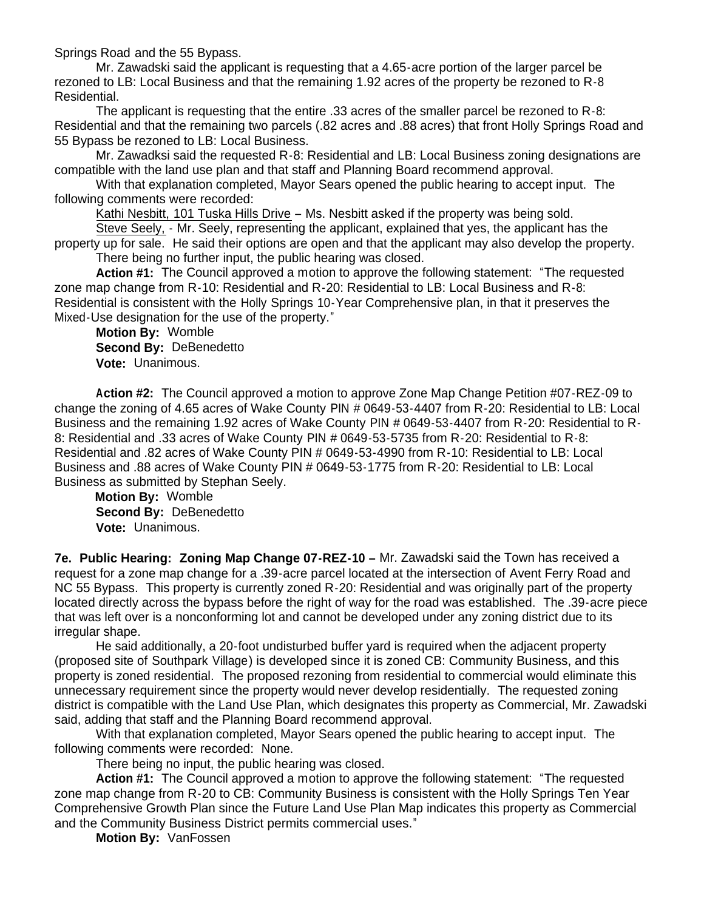Springs Road and the 55 Bypass.

Mr. Zawadski said the applicant is requesting that a 4.65-acre portion of the larger parcel be rezoned to LB: Local Business and that the remaining 1.92 acres of the property be rezoned to R-8 Residential.

The applicant is requesting that the entire .33 acres of the smaller parcel be rezoned to R-8: Residential and that the remaining two parcels (.82 acres and .88 acres) that front Holly Springs Road and 55 Bypass be rezoned to LB: Local Business.

Mr. Zawadksi said the requested R-8: Residential and LB: Local Business zoning designations are compatible with the land use plan and that staff and Planning Board recommend approval.

With that explanation completed, Mayor Sears opened the public hearing to accept input. The following comments were recorded:

Kathi Nesbitt, 101 Tuska Hills Drive – Ms. Nesbitt asked if the property was being sold.

Steve Seely, - Mr. Seely, representing the applicant, explained that yes, the applicant has the property up for sale. He said their options are open and that the applicant may also develop the property.

There being no further input, the public hearing was closed.

 **Action #1:** The Council approved a motion to approve the following statement: "The requested zone map change from R-10: Residential and R-20: Residential to LB: Local Business and R-8: Residential is consistent with the Holly Springs 10-Year Comprehensive plan, in that it preserves the Mixed-Use designation for the use of the property."

 **Motion By:** Womble **Second By:** DeBenedetto **Vote:** Unanimous.

 **Action #2:** The Council approved a motion to approve Zone Map Change Petition #07-REZ-09 to change the zoning of 4.65 acres of Wake County PIN # 0649-53-4407 from R-20: Residential to LB: Local Business and the remaining 1.92 acres of Wake County PIN # 0649-53-4407 from R-20: Residential to R-8: Residential and .33 acres of Wake County PIN # 0649-53-5735 from R-20: Residential to R-8: Residential and .82 acres of Wake County PIN # 0649-53-4990 from R-10: Residential to LB: Local Business and .88 acres of Wake County PIN # 0649-53-1775 from R-20: Residential to LB: Local Business as submitted by Stephan Seely.

 **Motion By:** Womble **Second By:** DeBenedetto **Vote:** Unanimous.

**7e. Public Hearing: Zoning Map Change 07-REZ-10 –** Mr. Zawadski said the Town has received a request for a zone map change for a .39-acre parcel located at the intersection of Avent Ferry Road and NC 55 Bypass. This property is currently zoned R-20: Residential and was originally part of the property located directly across the bypass before the right of way for the road was established. The .39-acre piece that was left over is a nonconforming lot and cannot be developed under any zoning district due to its irregular shape.

He said additionally, a 20-foot undisturbed buffer yard is required when the adjacent property (proposed site of Southpark Village) is developed since it is zoned CB: Community Business, and this property is zoned residential. The proposed rezoning from residential to commercial would eliminate this unnecessary requirement since the property would never develop residentially. The requested zoning district is compatible with the Land Use Plan, which designates this property as Commercial, Mr. Zawadski said, adding that staff and the Planning Board recommend approval.

With that explanation completed, Mayor Sears opened the public hearing to accept input. The following comments were recorded: None.

There being no input, the public hearing was closed.

 **Action #1:** The Council approved a motion to approve the following statement: "The requested zone map change from R-20 to CB: Community Business is consistent with the Holly Springs Ten Year Comprehensive Growth Plan since the Future Land Use Plan Map indicates this property as Commercial and the Community Business District permits commercial uses."

**Motion By:** VanFossen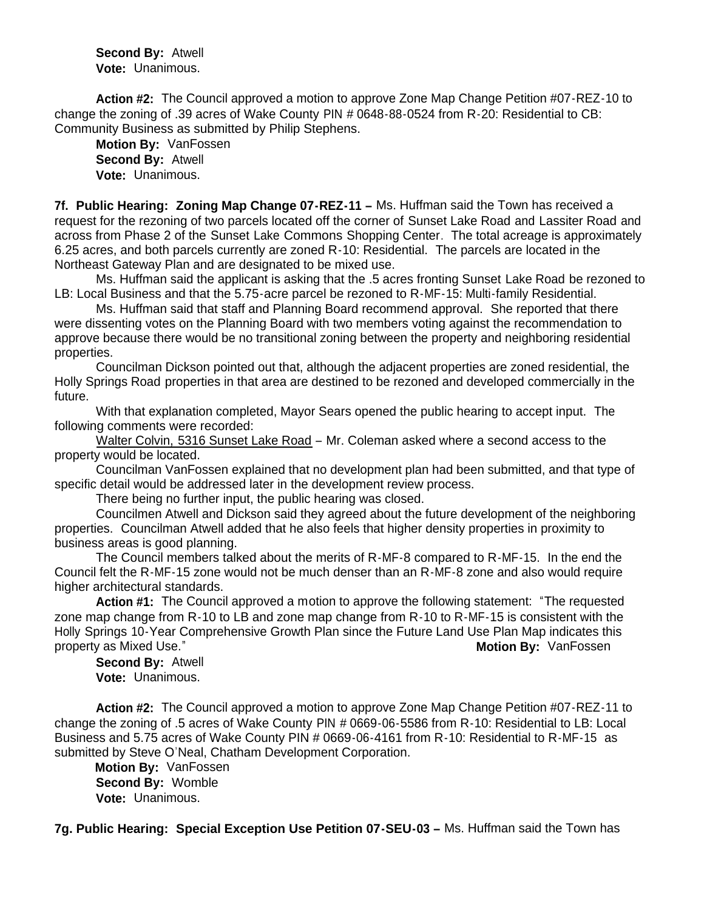**Second By:** Atwell **Vote:** Unanimous.

 **Action #2:** The Council approved a motion to approve Zone Map Change Petition #07-REZ-10 to change the zoning of .39 acres of Wake County PIN # 0648-88-0524 from R-20: Residential to CB: Community Business as submitted by Philip Stephens.

 **Motion By:** VanFossen **Second By:** Atwell **Vote:** Unanimous.

**7f. Public Hearing: Zoning Map Change 07-REZ-11 –** Ms. Huffman said the Town has received a request for the rezoning of two parcels located off the corner of Sunset Lake Road and Lassiter Road and across from Phase 2 of the Sunset Lake Commons Shopping Center. The total acreage is approximately 6.25 acres, and both parcels currently are zoned R-10: Residential. The parcels are located in the Northeast Gateway Plan and are designated to be mixed use.

 Ms. Huffman said the applicant is asking that the .5 acres fronting Sunset Lake Road be rezoned to LB: Local Business and that the 5.75-acre parcel be rezoned to R-MF-15: Multi-family Residential.

Ms. Huffman said that staff and Planning Board recommend approval. She reported that there were dissenting votes on the Planning Board with two members voting against the recommendation to approve because there would be no transitional zoning between the property and neighboring residential properties.

Councilman Dickson pointed out that, although the adjacent properties are zoned residential, the Holly Springs Road properties in that area are destined to be rezoned and developed commercially in the future.

With that explanation completed, Mayor Sears opened the public hearing to accept input. The following comments were recorded:

Walter Colvin, 5316 Sunset Lake Road – Mr. Coleman asked where a second access to the property would be located.

Councilman VanFossen explained that no development plan had been submitted, and that type of specific detail would be addressed later in the development review process.

There being no further input, the public hearing was closed.

Councilmen Atwell and Dickson said they agreed about the future development of the neighboring properties. Councilman Atwell added that he also feels that higher density properties in proximity to business areas is good planning.

The Council members talked about the merits of R-MF-8 compared to R-MF-15. In the end the Council felt the R-MF-15 zone would not be much denser than an R-MF-8 zone and also would require higher architectural standards.

 **Action #1:** The Council approved a motion to approve the following statement: "The requested zone map change from R-10 to LB and zone map change from R-10 to R-MF-15 is consistent with the Holly Springs 10-Year Comprehensive Growth Plan since the Future Land Use Plan Map indicates this property as Mixed Use." **Motion By:** VanFossen

 **Second By:** Atwell **Vote:** Unanimous.

 **Action #2:** The Council approved a motion to approve Zone Map Change Petition #07-REZ-11 to change the zoning of .5 acres of Wake County PIN # 0669-06-5586 from R-10: Residential to LB: Local Business and 5.75 acres of Wake County PIN # 0669-06-4161 from R-10: Residential to R-MF-15 as submitted by Steve O'Neal, Chatham Development Corporation.

 **Motion By:** VanFossen **Second By:** Womble **Vote:** Unanimous.

**7g. Public Hearing: Special Exception Use Petition 07-SEU-03 –** Ms. Huffman said the Town has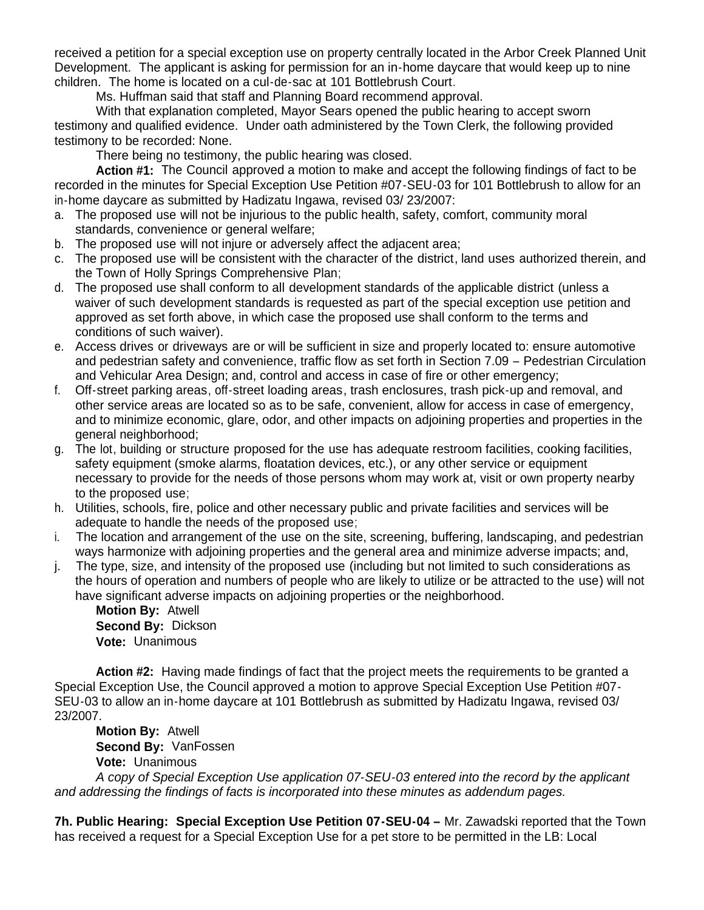received a petition for a special exception use on property centrally located in the Arbor Creek Planned Unit Development. The applicant is asking for permission for an in-home daycare that would keep up to nine children. The home is located on a cul-de-sac at 101 Bottlebrush Court.

Ms. Huffman said that staff and Planning Board recommend approval.

With that explanation completed, Mayor Sears opened the public hearing to accept sworn testimony and qualified evidence. Under oath administered by the Town Clerk, the following provided testimony to be recorded: None.

There being no testimony, the public hearing was closed.

 **Action #1:** The Council approved a motion to make and accept the following findings of fact to be recorded in the minutes for Special Exception Use Petition #07-SEU-03 for 101 Bottlebrush to allow for an in-home daycare as submitted by Hadizatu Ingawa, revised 03/ 23/2007:

- a. The proposed use will not be injurious to the public health, safety, comfort, community moral standards, convenience or general welfare;
- b. The proposed use will not injure or adversely affect the adjacent area;
- c. The proposed use will be consistent with the character of the district, land uses authorized therein, and the Town of Holly Springs Comprehensive Plan;
- d. The proposed use shall conform to all development standards of the applicable district (unless a waiver of such development standards is requested as part of the special exception use petition and approved as set forth above, in which case the proposed use shall conform to the terms and conditions of such waiver).
- e. Access drives or driveways are or will be sufficient in size and properly located to: ensure automotive and pedestrian safety and convenience, traffic flow as set forth in Section 7.09 – Pedestrian Circulation and Vehicular Area Design; and, control and access in case of fire or other emergency;
- f. Off-street parking areas, off-street loading areas, trash enclosures, trash pick-up and removal, and other service areas are located so as to be safe, convenient, allow for access in case of emergency, and to minimize economic, glare, odor, and other impacts on adjoining properties and properties in the general neighborhood;
- g. The lot, building or structure proposed for the use has adequate restroom facilities, cooking facilities, safety equipment (smoke alarms, floatation devices, etc.), or any other service or equipment necessary to provide for the needs of those persons whom may work at, visit or own property nearby to the proposed use;
- h. Utilities, schools, fire, police and other necessary public and private facilities and services will be adequate to handle the needs of the proposed use;
- i. The location and arrangement of the use on the site, screening, buffering, landscaping, and pedestrian ways harmonize with adjoining properties and the general area and minimize adverse impacts; and,
- j. The type, size, and intensity of the proposed use (including but not limited to such considerations as the hours of operation and numbers of people who are likely to utilize or be attracted to the use) will not have significant adverse impacts on adjoining properties or the neighborhood.

 **Motion By:** Atwell **Second By:** Dickson **Vote:** Unanimous

**Action #2:** Having made findings of fact that the project meets the requirements to be granted a Special Exception Use, the Council approved a motion to approve Special Exception Use Petition #07- SEU-03 to allow an in-home daycare at 101 Bottlebrush as submitted by Hadizatu Ingawa, revised 03/ 23/2007.

 **Motion By:** Atwell **Second By:** VanFossen **Vote:** Unanimous

*A copy of Special Exception Use application 07-SEU-03 entered into the record by the applicant and addressing the findings of facts is incorporated into these minutes as addendum pages.*

**7h. Public Hearing: Special Exception Use Petition 07-SEU-04 –** Mr. Zawadski reported that the Town has received a request for a Special Exception Use for a pet store to be permitted in the LB: Local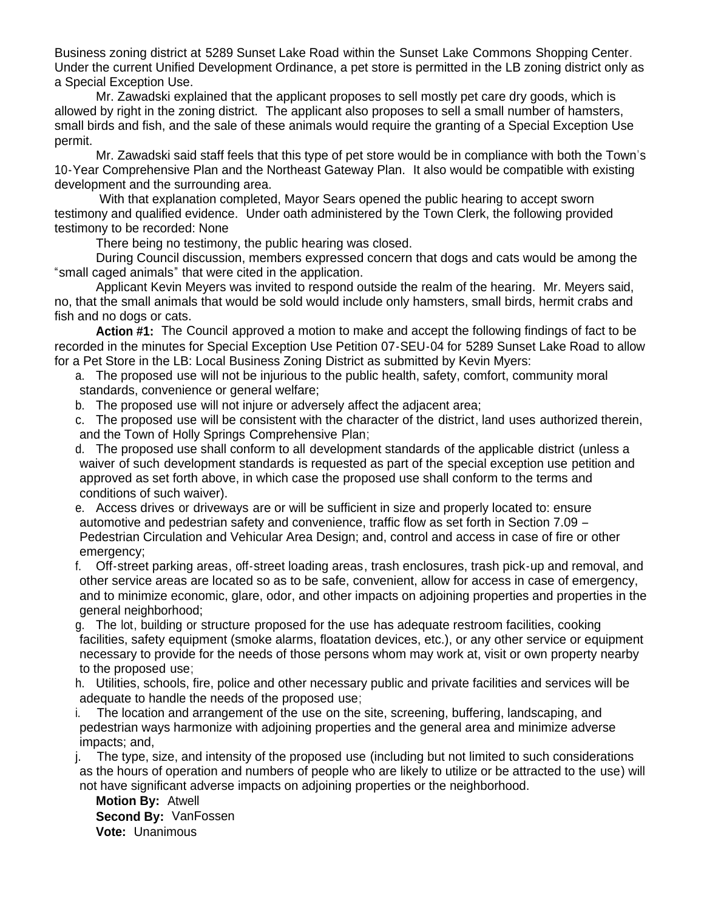Business zoning district at 5289 Sunset Lake Road within the Sunset Lake Commons Shopping Center. Under the current Unified Development Ordinance, a pet store is permitted in the LB zoning district only as a Special Exception Use.

Mr. Zawadski explained that the applicant proposes to sell mostly pet care dry goods, which is allowed by right in the zoning district. The applicant also proposes to sell a small number of hamsters, small birds and fish, and the sale of these animals would require the granting of a Special Exception Use permit.

Mr. Zawadski said staff feels that this type of pet store would be in compliance with both the Town's 10-Year Comprehensive Plan and the Northeast Gateway Plan. It also would be compatible with existing development and the surrounding area.

With that explanation completed, Mayor Sears opened the public hearing to accept sworn testimony and qualified evidence. Under oath administered by the Town Clerk, the following provided testimony to be recorded: None

There being no testimony, the public hearing was closed.

 During Council discussion, members expressed concern that dogs and cats would be among the "small caged animals" that were cited in the application.

 Applicant Kevin Meyers was invited to respond outside the realm of the hearing. Mr. Meyers said, no, that the small animals that would be sold would include only hamsters, small birds, hermit crabs and fish and no dogs or cats.

 **Action #1:** The Council approved a motion to make and accept the following findings of fact to be recorded in the minutes for Special Exception Use Petition 07-SEU-04 for 5289 Sunset Lake Road to allow for a Pet Store in the LB: Local Business Zoning District as submitted by Kevin Myers:

- a. The proposed use will not be injurious to the public health, safety, comfort, community moral standards, convenience or general welfare;
- b. The proposed use will not injure or adversely affect the adjacent area;
- c. The proposed use will be consistent with the character of the district, land uses authorized therein, and the Town of Holly Springs Comprehensive Plan;
- d. The proposed use shall conform to all development standards of the applicable district (unless a waiver of such development standards is requested as part of the special exception use petition and approved as set forth above, in which case the proposed use shall conform to the terms and conditions of such waiver).
- e. Access drives or driveways are or will be sufficient in size and properly located to: ensure automotive and pedestrian safety and convenience, traffic flow as set forth in Section 7.09 – Pedestrian Circulation and Vehicular Area Design; and, control and access in case of fire or other emergency:
- f. Off-street parking areas, off-street loading areas, trash enclosures, trash pick-up and removal, and other service areas are located so as to be safe, convenient, allow for access in case of emergency, and to minimize economic, glare, odor, and other impacts on adjoining properties and properties in the general neighborhood;
- g. The lot, building or structure proposed for the use has adequate restroom facilities, cooking facilities, safety equipment (smoke alarms, floatation devices, etc.), or any other service or equipment necessary to provide for the needs of those persons whom may work at, visit or own property nearby to the proposed use;
- h. Utilities, schools, fire, police and other necessary public and private facilities and services will be adequate to handle the needs of the proposed use;
- i. The location and arrangement of the use on the site, screening, buffering, landscaping, and pedestrian ways harmonize with adjoining properties and the general area and minimize adverse impacts; and,

j. The type, size, and intensity of the proposed use (including but not limited to such considerations as the hours of operation and numbers of people who are likely to utilize or be attracted to the use) will not have significant adverse impacts on adjoining properties or the neighborhood.

 **Motion By:** Atwell **Second By:** VanFossen **Vote:** Unanimous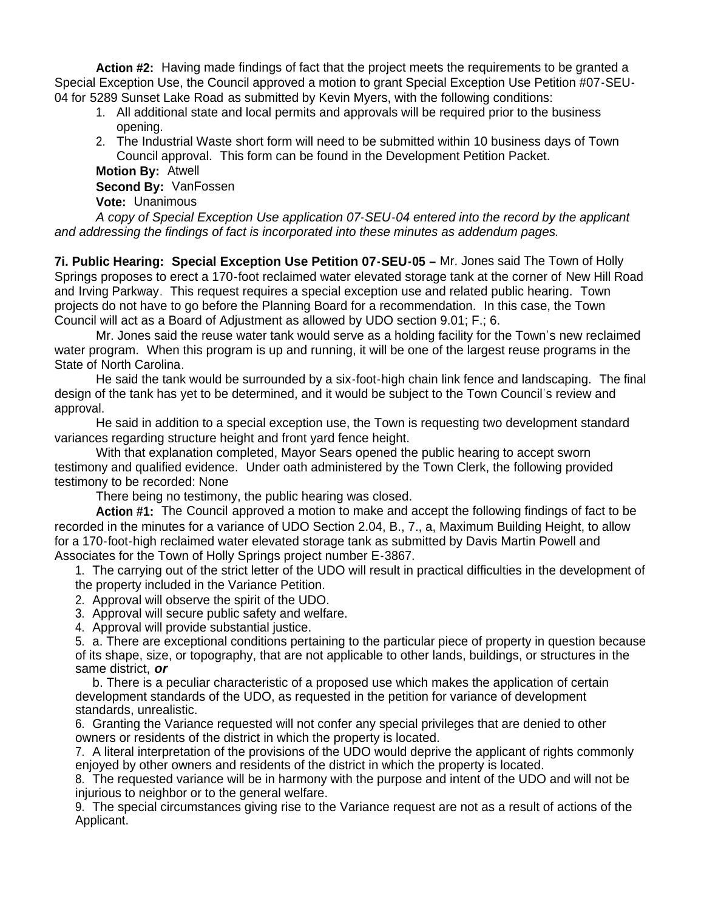**Action #2:** Having made findings of fact that the project meets the requirements to be granted a Special Exception Use, the Council approved a motion to grant Special Exception Use Petition #07-SEU-04 for 5289 Sunset Lake Road as submitted by Kevin Myers, with the following conditions:

- 1. All additional state and local permits and approvals will be required prior to the business opening.
- 2. The Industrial Waste short form will need to be submitted within 10 business days of Town Council approval. This form can be found in the Development Petition Packet.

 **Motion By:** Atwell **Second By:** VanFossen **Vote:** Unanimous

*A copy of Special Exception Use application 07-SEU-04 entered into the record by the applicant and addressing the findings of fact is incorporated into these minutes as addendum pages.*

**7i. Public Hearing: Special Exception Use Petition 07-SEU-05 –** Mr. Jones said The Town of Holly Springs proposes to erect a 170-foot reclaimed water elevated storage tank at the corner of New Hill Road and Irving Parkway. This request requires a special exception use and related public hearing. Town projects do not have to go before the Planning Board for a recommendation. In this case, the Town Council will act as a Board of Adjustment as allowed by UDO section 9.01; F.; 6.

 Mr. Jones said the reuse water tank would serve as a holding facility for the Town's new reclaimed water program. When this program is up and running, it will be one of the largest reuse programs in the State of North Carolina.

 He said the tank would be surrounded by a six-foot-high chain link fence and landscaping. The final design of the tank has yet to be determined, and it would be subject to the Town Council's review and approval.

 He said in addition to a special exception use, the Town is requesting two development standard variances regarding structure height and front yard fence height.

With that explanation completed, Mayor Sears opened the public hearing to accept sworn testimony and qualified evidence. Under oath administered by the Town Clerk, the following provided testimony to be recorded: None

There being no testimony, the public hearing was closed.

 **Action #1:** The Council approved a motion to make and accept the following findings of fact to be recorded in the minutes for a variance of UDO Section 2.04, B., 7., a, Maximum Building Height, to allow for a 170-foot-high reclaimed water elevated storage tank as submitted by Davis Martin Powell and Associates for the Town of Holly Springs project number E-3867.

1. The carrying out of the strict letter of the UDO will result in practical difficulties in the development of the property included in the Variance Petition.

2. Approval will observe the spirit of the UDO.

3. Approval will secure public safety and welfare.

4. Approval will provide substantial justice.

5. a. There are exceptional conditions pertaining to the particular piece of property in question because of its shape, size, or topography, that are not applicable to other lands, buildings, or structures in the same district, *or*

 b. There is a peculiar characteristic of a proposed use which makes the application of certain development standards of the UDO, as requested in the petition for variance of development standards, unrealistic.

6. Granting the Variance requested will not confer any special privileges that are denied to other owners or residents of the district in which the property is located.

7. A literal interpretation of the provisions of the UDO would deprive the applicant of rights commonly enjoyed by other owners and residents of the district in which the property is located.

8. The requested variance will be in harmony with the purpose and intent of the UDO and will not be injurious to neighbor or to the general welfare.

9. The special circumstances giving rise to the Variance request are not as a result of actions of the Applicant.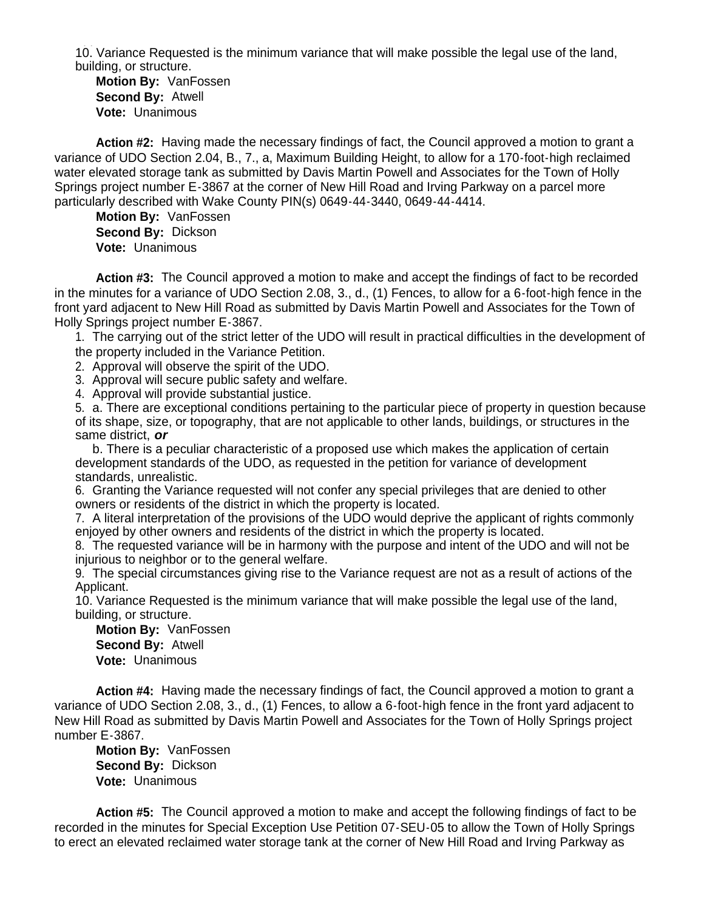10. Variance Requested is the minimum variance that will make possible the legal use of the land, building, or structure.

**Motion By:** VanFossen **Second By:** Atwell **Vote:** Unanimous

 **Action #2:** Having made the necessary findings of fact, the Council approved a motion to grant a variance of UDO Section 2.04, B., 7., a, Maximum Building Height, to allow for a 170-foot-high reclaimed water elevated storage tank as submitted by Davis Martin Powell and Associates for the Town of Holly Springs project number E-3867 at the corner of New Hill Road and Irving Parkway on a parcel more particularly described with Wake County PIN(s) 0649-44-3440, 0649-44-4414.

**Motion By:** VanFossen **Second By:** Dickson **Vote:** Unanimous

 **Action #3:** The Council approved a motion to make and accept the findings of fact to be recorded in the minutes for a variance of UDO Section 2.08, 3., d., (1) Fences, to allow for a 6-foot-high fence in the front yard adjacent to New Hill Road as submitted by Davis Martin Powell and Associates for the Town of Holly Springs project number E-3867.

1. The carrying out of the strict letter of the UDO will result in practical difficulties in the development of the property included in the Variance Petition.

2. Approval will observe the spirit of the UDO.

3. Approval will secure public safety and welfare.

4. Approval will provide substantial justice.

5. a. There are exceptional conditions pertaining to the particular piece of property in question because of its shape, size, or topography, that are not applicable to other lands, buildings, or structures in the same district, *or*

 b. There is a peculiar characteristic of a proposed use which makes the application of certain development standards of the UDO, as requested in the petition for variance of development standards, unrealistic.

6. Granting the Variance requested will not confer any special privileges that are denied to other owners or residents of the district in which the property is located.

7. A literal interpretation of the provisions of the UDO would deprive the applicant of rights commonly enjoyed by other owners and residents of the district in which the property is located.

8. The requested variance will be in harmony with the purpose and intent of the UDO and will not be injurious to neighbor or to the general welfare.

9. The special circumstances giving rise to the Variance request are not as a result of actions of the Applicant.

10. Variance Requested is the minimum variance that will make possible the legal use of the land, building, or structure.

**Motion By:** VanFossen **Second By:** Atwell **Vote:** Unanimous

 **Action #4:** Having made the necessary findings of fact, the Council approved a motion to grant a variance of UDO Section 2.08, 3., d., (1) Fences, to allow a 6-foot-high fence in the front yard adjacent to New Hill Road as submitted by Davis Martin Powell and Associates for the Town of Holly Springs project number E-3867.

**Motion By:** VanFossen **Second By:** Dickson **Vote:** Unanimous

 **Action #5:** The Council approved a motion to make and accept the following findings of fact to be recorded in the minutes for Special Exception Use Petition 07-SEU-05 to allow the Town of Holly Springs to erect an elevated reclaimed water storage tank at the corner of New Hill Road and Irving Parkway as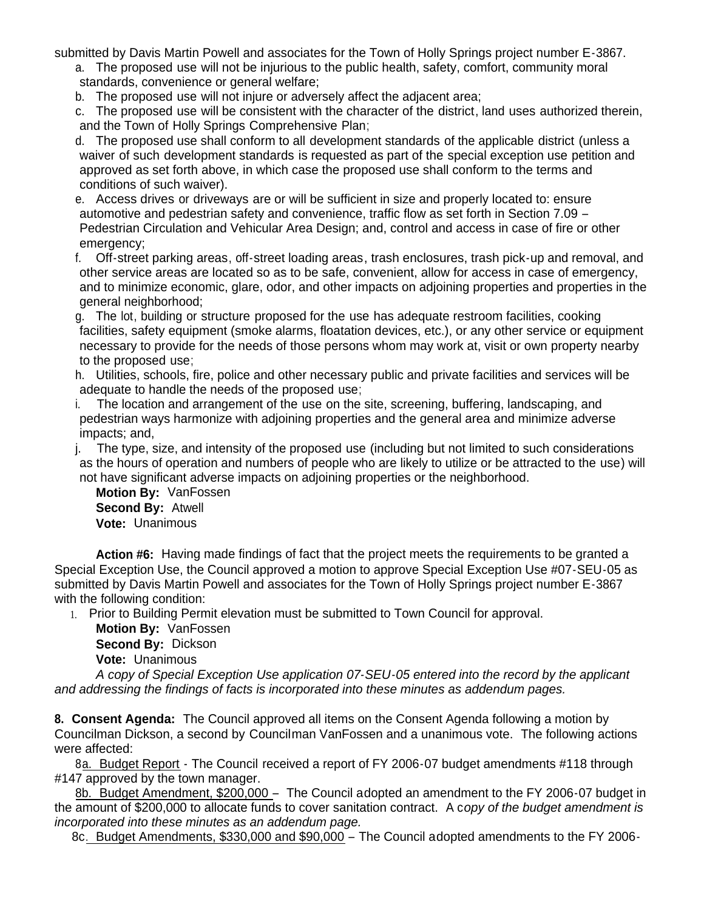submitted by Davis Martin Powell and associates for the Town of Holly Springs project number E-3867.

- a. The proposed use will not be injurious to the public health, safety, comfort, community moral standards, convenience or general welfare;
- b. The proposed use will not injure or adversely affect the adjacent area;
- c. The proposed use will be consistent with the character of the district, land uses authorized therein, and the Town of Holly Springs Comprehensive Plan;
- d. The proposed use shall conform to all development standards of the applicable district (unless a waiver of such development standards is requested as part of the special exception use petition and approved as set forth above, in which case the proposed use shall conform to the terms and conditions of such waiver).
- e. Access drives or driveways are or will be sufficient in size and properly located to: ensure automotive and pedestrian safety and convenience, traffic flow as set forth in Section 7.09 – Pedestrian Circulation and Vehicular Area Design; and, control and access in case of fire or other emergency;
- f. Off-street parking areas, off-street loading areas, trash enclosures, trash pick-up and removal, and other service areas are located so as to be safe, convenient, allow for access in case of emergency, and to minimize economic, glare, odor, and other impacts on adjoining properties and properties in the general neighborhood;
- g. The lot, building or structure proposed for the use has adequate restroom facilities, cooking facilities, safety equipment (smoke alarms, floatation devices, etc.), or any other service or equipment necessary to provide for the needs of those persons whom may work at, visit or own property nearby to the proposed use;
- h. Utilities, schools, fire, police and other necessary public and private facilities and services will be adequate to handle the needs of the proposed use;
- i. The location and arrangement of the use on the site, screening, buffering, landscaping, and pedestrian ways harmonize with adjoining properties and the general area and minimize adverse impacts; and,
- j. The type, size, and intensity of the proposed use (including but not limited to such considerations as the hours of operation and numbers of people who are likely to utilize or be attracted to the use) will not have significant adverse impacts on adjoining properties or the neighborhood.

**Motion By:** VanFossen **Second By:** Atwell **Vote:** Unanimous

 **Action #6:** Having made findings of fact that the project meets the requirements to be granted a Special Exception Use, the Council approved a motion to approve Special Exception Use #07-SEU-05 as submitted by Davis Martin Powell and associates for the Town of Holly Springs project number E-3867 with the following condition:

1. Prior to Building Permit elevation must be submitted to Town Council for approval.

 **Motion By:** VanFossen **Second By:** Dickson **Vote:** Unanimous

*A copy of Special Exception Use application 07-SEU-05 entered into the record by the applicant and addressing the findings of facts is incorporated into these minutes as addendum pages.*

**8. Consent Agenda:** The Council approved all items on the Consent Agenda following a motion by Councilman Dickson, a second by Councilman VanFossen and a unanimous vote. The following actions were affected:

 8a. Budget Report - The Council received a report of FY 2006-07 budget amendments #118 through #147 approved by the town manager.

8b. Budget Amendment, \$200,000 – The Council adopted an amendment to the FY 2006-07 budget in the amount of \$200,000 to allocate funds to cover sanitation contract. A c*opy of the budget amendment is incorporated into these minutes as an addendum page.*

8c. Budget Amendments, \$330,000 and \$90,000 – The Council adopted amendments to the FY 2006-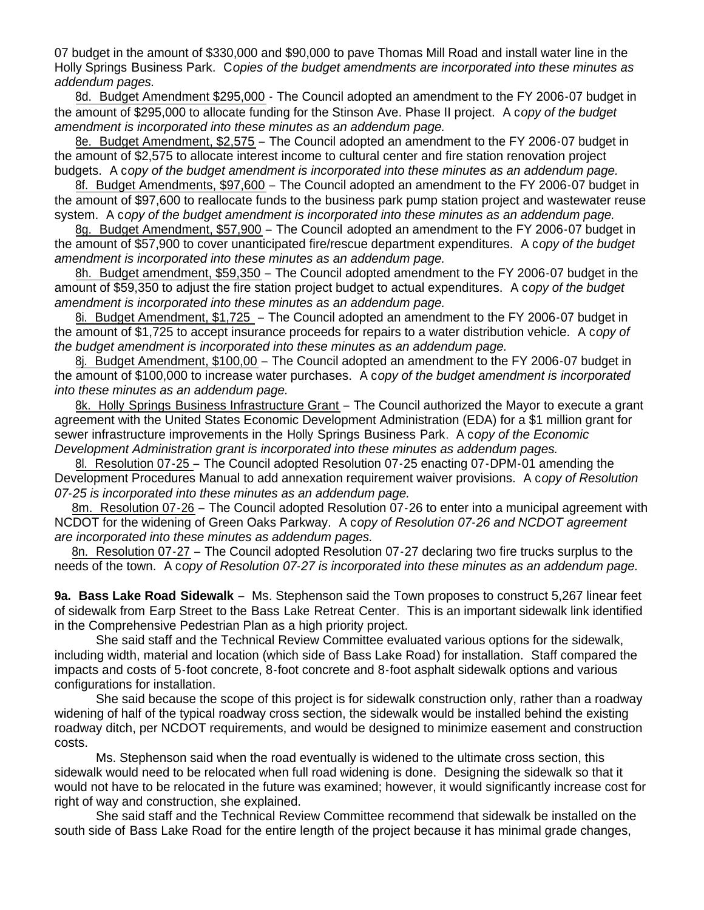07 budget in the amount of \$330,000 and \$90,000 to pave Thomas Mill Road and install water line in the Holly Springs Business Park. C*opies of the budget amendments are incorporated into these minutes as addendum pages.*

8d. Budget Amendment \$295,000 - The Council adopted an amendment to the FY 2006-07 budget in the amount of \$295,000 to allocate funding for the Stinson Ave. Phase II project. A c*opy of the budget amendment is incorporated into these minutes as an addendum page.*

 8e. Budget Amendment, \$2,575 – The Council adopted an amendment to the FY 2006-07 budget in the amount of \$2,575 to allocate interest income to cultural center and fire station renovation project budgets. A c*opy of the budget amendment is incorporated into these minutes as an addendum page.*

 8f. Budget Amendments, \$97,600 – The Council adopted an amendment to the FY 2006-07 budget in the amount of \$97,600 to reallocate funds to the business park pump station project and wastewater reuse system. A c*opy of the budget amendment is incorporated into these minutes as an addendum page.*

 8g. Budget Amendment, \$57,900 – The Council adopted an amendment to the FY 2006-07 budget in the amount of \$57,900 to cover unanticipated fire/rescue department expenditures. A c*opy of the budget amendment is incorporated into these minutes as an addendum page.*

8h. Budget amendment, \$59,350 - The Council adopted amendment to the FY 2006-07 budget in the amount of \$59,350 to adjust the fire station project budget to actual expenditures. A c*opy of the budget amendment is incorporated into these minutes as an addendum page.*

 8i. Budget Amendment, \$1,725 – The Council adopted an amendment to the FY 2006-07 budget in the amount of \$1,725 to accept insurance proceeds for repairs to a water distribution vehicle. A c*opy of the budget amendment is incorporated into these minutes as an addendum page.*

 8j. Budget Amendment, \$100,00 – The Council adopted an amendment to the FY 2006-07 budget in the amount of \$100,000 to increase water purchases. A c*opy of the budget amendment is incorporated into these minutes as an addendum page.*

 8k. Holly Springs Business Infrastructure Grant – The Council authorized the Mayor to execute a grant agreement with the United States Economic Development Administration (EDA) for a \$1 million grant for sewer infrastructure improvements in the Holly Springs Business Park. A c*opy of the Economic Development Administration grant is incorporated into these minutes as addendum pages.*

 8l. Resolution 07-25 – The Council adopted Resolution 07-25 enacting 07-DPM-01 amending the Development Procedures Manual to add annexation requirement waiver provisions. A c*opy of Resolution 07-25 is incorporated into these minutes as an addendum page.*

 8m. Resolution 07-26 – The Council adopted Resolution 07-26 to enter into a municipal agreement with NCDOT for the widening of Green Oaks Parkway. A c*opy of Resolution 07-26 and NCDOT agreement are incorporated into these minutes as addendum pages.*

8n. Resolution 07-27 – The Council adopted Resolution 07-27 declaring two fire trucks surplus to the needs of the town. A c*opy of Resolution 07-27 is incorporated into these minutes as an addendum page.*

**9a. Bass Lake Road Sidewalk** – Ms. Stephenson said the Town proposes to construct 5,267 linear feet of sidewalk from Earp Street to the Bass Lake Retreat Center. This is an important sidewalk link identified in the Comprehensive Pedestrian Plan as a high priority project.

 She said staff and the Technical Review Committee evaluated various options for the sidewalk, including width, material and location (which side of Bass Lake Road) for installation. Staff compared the impacts and costs of 5-foot concrete, 8-foot concrete and 8-foot asphalt sidewalk options and various configurations for installation.

 She said because the scope of this project is for sidewalk construction only, rather than a roadway widening of half of the typical roadway cross section, the sidewalk would be installed behind the existing roadway ditch, per NCDOT requirements, and would be designed to minimize easement and construction costs.

 Ms. Stephenson said when the road eventually is widened to the ultimate cross section, this sidewalk would need to be relocated when full road widening is done. Designing the sidewalk so that it would not have to be relocated in the future was examined; however, it would significantly increase cost for right of way and construction, she explained.

 She said staff and the Technical Review Committee recommend that sidewalk be installed on the south side of Bass Lake Road for the entire length of the project because it has minimal grade changes,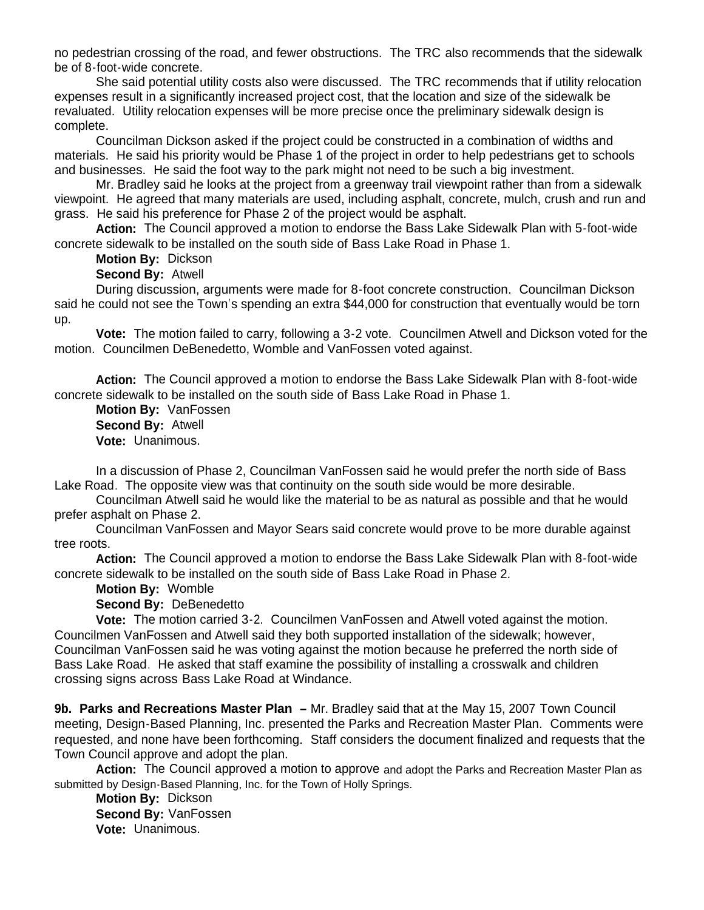no pedestrian crossing of the road, and fewer obstructions. The TRC also recommends that the sidewalk be of 8-foot-wide concrete.

 She said potential utility costs also were discussed. The TRC recommends that if utility relocation expenses result in a significantly increased project cost, that the location and size of the sidewalk be revaluated. Utility relocation expenses will be more precise once the preliminary sidewalk design is complete.

 Councilman Dickson asked if the project could be constructed in a combination of widths and materials. He said his priority would be Phase 1 of the project in order to help pedestrians get to schools and businesses. He said the foot way to the park might not need to be such a big investment.

 Mr. Bradley said he looks at the project from a greenway trail viewpoint rather than from a sidewalk viewpoint. He agreed that many materials are used, including asphalt, concrete, mulch, crush and run and grass. He said his preference for Phase 2 of the project would be asphalt.

 **Action:** The Council approved a motion to endorse the Bass Lake Sidewalk Plan with 5-foot-wide concrete sidewalk to be installed on the south side of Bass Lake Road in Phase 1.

#### **Motion By:** Dickson

#### **Second By:** Atwell

 During discussion, arguments were made for 8-foot concrete construction. Councilman Dickson said he could not see the Town's spending an extra \$44,000 for construction that eventually would be torn up.

 **Vote:** The motion failed to carry, following a 3-2 vote. Councilmen Atwell and Dickson voted for the motion. Councilmen DeBenedetto, Womble and VanFossen voted against.

**Action:** The Council approved a motion to endorse the Bass Lake Sidewalk Plan with 8-foot-wide concrete sidewalk to be installed on the south side of Bass Lake Road in Phase 1.

 **Motion By:** VanFossen **Second By:** Atwell **Vote:** Unanimous.

 In a discussion of Phase 2, Councilman VanFossen said he would prefer the north side of Bass Lake Road. The opposite view was that continuity on the south side would be more desirable.

 Councilman Atwell said he would like the material to be as natural as possible and that he would prefer asphalt on Phase 2.

 Councilman VanFossen and Mayor Sears said concrete would prove to be more durable against tree roots.

**Action:** The Council approved a motion to endorse the Bass Lake Sidewalk Plan with 8-foot-wide concrete sidewalk to be installed on the south side of Bass Lake Road in Phase 2.

**Motion By:** Womble

**Second By:** DeBenedetto

 **Vote:** The motion carried 3-2. Councilmen VanFossen and Atwell voted against the motion. Councilmen VanFossen and Atwell said they both supported installation of the sidewalk; however, Councilman VanFossen said he was voting against the motion because he preferred the north side of Bass Lake Road. He asked that staff examine the possibility of installing a crosswalk and children crossing signs across Bass Lake Road at Windance.

**9b. Parks and Recreations Master Plan –** Mr. Bradley said that at the May 15, 2007 Town Council meeting, Design-Based Planning, Inc. presented the Parks and Recreation Master Plan. Comments were requested, and none have been forthcoming. Staff considers the document finalized and requests that the Town Council approve and adopt the plan.

 **Action:** The Council approved a motion to approve and adopt the Parks and Recreation Master Plan as submitted by Design-Based Planning, Inc. for the Town of Holly Springs.

 **Motion By:** Dickson **Second By:** VanFossen **Vote:** Unanimous.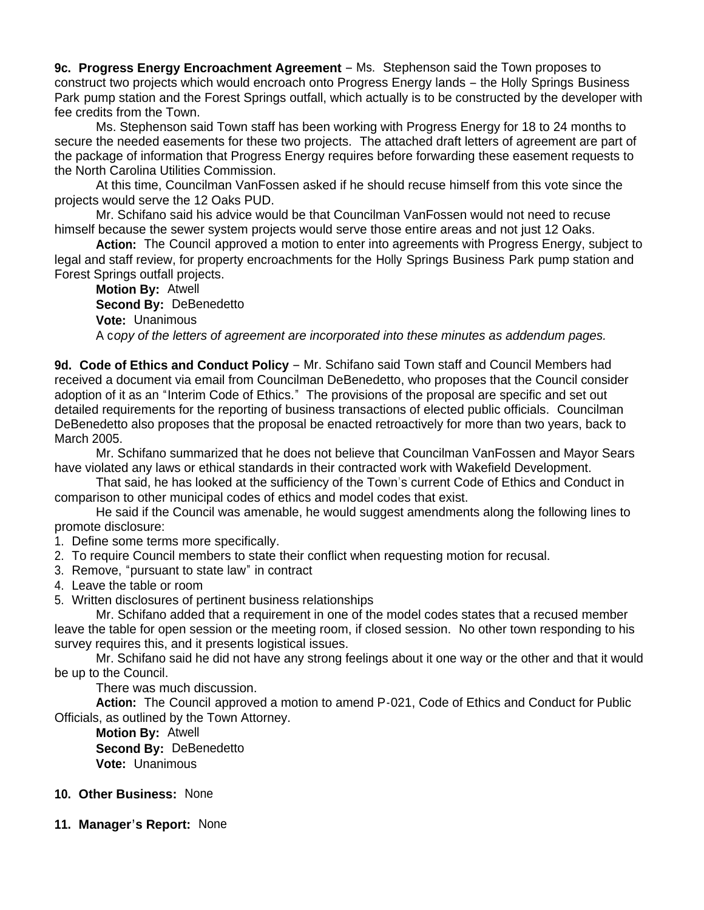**9c. Progress Energy Encroachment Agreement** – Ms. Stephenson said the Town proposes to construct two projects which would encroach onto Progress Energy lands – the Holly Springs Business Park pump station and the Forest Springs outfall, which actually is to be constructed by the developer with fee credits from the Town.

 Ms. Stephenson said Town staff has been working with Progress Energy for 18 to 24 months to secure the needed easements for these two projects. The attached draft letters of agreement are part of the package of information that Progress Energy requires before forwarding these easement requests to the North Carolina Utilities Commission.

 At this time, Councilman VanFossen asked if he should recuse himself from this vote since the projects would serve the 12 Oaks PUD.

 Mr. Schifano said his advice would be that Councilman VanFossen would not need to recuse himself because the sewer system projects would serve those entire areas and not just 12 Oaks.

**Action:** The Council approved a motion to enter into agreements with Progress Energy, subject to legal and staff review, for property encroachments for the Holly Springs Business Park pump station and Forest Springs outfall projects.

**Motion By:** Atwell **Second By:** DeBenedetto **Vote:** Unanimous A c*opy of the letters of agreement are incorporated into these minutes as addendum pages.*

**9d. Code of Ethics and Conduct Policy** – Mr. Schifano said Town staff and Council Members had received a document via email from Councilman DeBenedetto, who proposes that the Council consider adoption of it as an "Interim Code of Ethics." The provisions of the proposal are specific and set out detailed requirements for the reporting of business transactions of elected public officials. Councilman DeBenedetto also proposes that the proposal be enacted retroactively for more than two years, back to March 2005.

 Mr. Schifano summarized that he does not believe that Councilman VanFossen and Mayor Sears have violated any laws or ethical standards in their contracted work with Wakefield Development.

 That said, he has looked at the sufficiency of the Town's current Code of Ethics and Conduct in comparison to other municipal codes of ethics and model codes that exist.

 He said if the Council was amenable, he would suggest amendments along the following lines to promote disclosure:

1. Define some terms more specifically.

2. To require Council members to state their conflict when requesting motion for recusal.

- 3. Remove, "pursuant to state law" in contract
- 4. Leave the table or room
- 5. Written disclosures of pertinent business relationships

 Mr. Schifano added that a requirement in one of the model codes states that a recused member leave the table for open session or the meeting room, if closed session. No other town responding to his survey requires this, and it presents logistical issues.

 Mr. Schifano said he did not have any strong feelings about it one way or the other and that it would be up to the Council.

There was much discussion.

**Action:** The Council approved a motion to amend P-021, Code of Ethics and Conduct for Public Officials, as outlined by the Town Attorney.

 **Motion By:** Atwell **Second By:** DeBenedetto **Vote:** Unanimous

## **10. Other Business:** None

**11. Manager's Report:** None